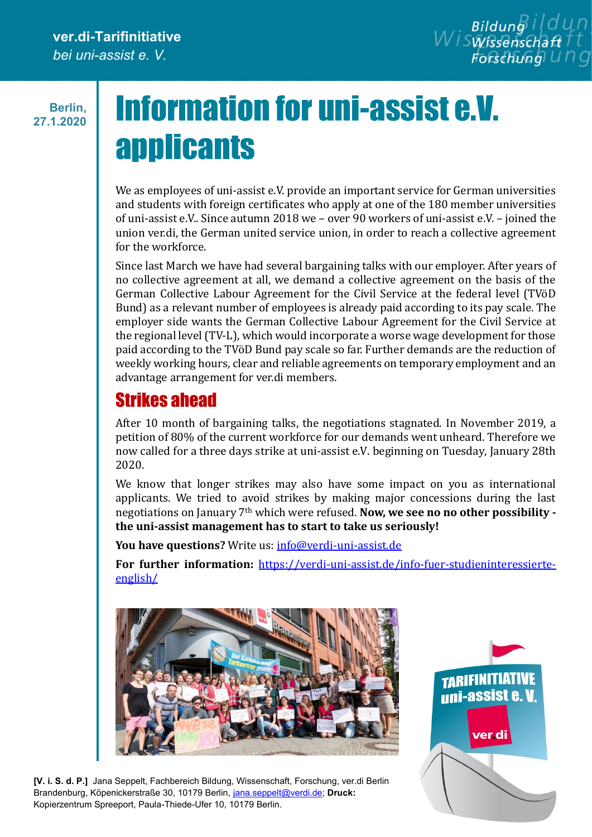**Berlin, 27.1.2020**

## Information for uni-assist e.V. **applicants**

We as employees of uni-assist e.V. provide an important service for German universities and students with foreign certificates who apply at one of the 180 member universities of uni-assist e.V.. Since autumn 2018 we – over 90 workers of uni-assist e.V. – joined the union ver.di, the German united service union, in order to reach a collective agreement for the workforce.

Since last March we have had several bargaining talks with our employer. After years of no collective agreement at all, we demand a collective agreement on the basis of the German Collective Labour Agreement for the Civil Service at the federal level (TVöD Bund) as a relevant number of employees is already paid according to its pay scale. The employer side wants the German Collective Labour Agreement for the Civil Service at the regional level (TV-L), which would incorporate a worse wage development for those paid according to the TVöD Bund pay scale so far. Further demands are the reduction of weekly working hours, clear and reliable agreements on temporary employment and an advantage arrangement for ver.di members.

## Strikes ahead

After 10 month of bargaining talks, the negotiations stagnated. In November 2019, a petition of 80% of the current workforce for our demands went unheard. Therefore we now called for a three days strike at uni-assist e.V. beginning on Tuesday, January 28th 2020.

We know that longer strikes may also have some impact on you as international applicants. We tried to avoid strikes by making major concessions during the last negotiations on January 7th which were refused. **Now, we see no no other possibility the uni-assist management has to start to take us seriously!**

You have questions? Write us: [info@verdi-uni-assist.de](mailto:info@verdi-uni-assist.de)

**For further information:** [https://verdi-uni-assist.de/info-fuer-studieninteressierte](https://verdi-uni-assist.de/info-fuer-studieninteressierte-english/)[english/](https://verdi-uni-assist.de/info-fuer-studieninteressierte-english/)



**[V. i. S. d. P.]** Jana Seppelt, Fachbereich Bildung, Wissenschaft, Forschung, ver.di Berlin Brandenburg, Köpenickerstraße 30, 10179 Berlin, [jana.seppelt@verdi.de;](mailto:jana.seppelt@verdi.de) **Druck:** Kopierzentrum Spreeport, Paula-Thiede-Ufer 10, 10179 Berlin.